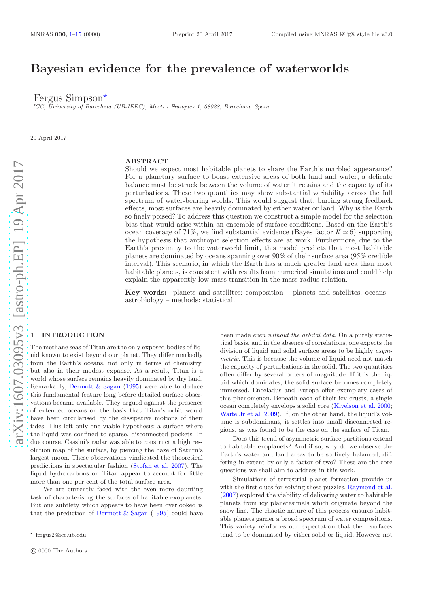# Bayesian evidence for the prevalence of waterworlds

Fergus Simpson<sup>\*</sup>

*ICC, University of Barcelona (UB-IEEC), Marti i Franques 1, 08028, Barcelona, Spain.*

20 April 2017

### **ABSTRACT**

Should we expect most habitable planets to share the Earth's marbled appearance? For a planetary surface to boast extensive areas of both land and water, a delicate balance must be struck between the volume of water it retains and the capacity of its perturbations. These two quantities may show substantial variability across the full spectrum of water-bearing worlds. This would suggest that, barring strong feedback effects, most surfaces are heavily dominated by either water or land. Why is the Earth so finely poised? To address this question we construct a simple model for the selection bias that would arise within an ensemble of surface conditions. Based on the Earth's ocean coverage of 71%, we find substantial evidence (Bayes factor  $K \simeq 6$ ) supporting the hypothesis that anthropic selection effects are at work. Furthermore, due to the Earth's proximity to the waterworld limit, this model predicts that most habitable planets are dominated by oceans spanning over 90% of their surface area (95% credible interval). This scenario, in which the Earth has a much greater land area than most habitable planets, is consistent with results from numerical simulations and could help explain the apparently low-mass transition in the mass-radius relation.

Key words: planets and satellites: composition – planets and satellites: oceans – astrobiology – methods: statistical.

# <span id="page-0-0"></span>**INTRODUCTION**

The methane seas of Titan are the only exposed bodies of liquid known to exist beyond our planet. They differ markedly from the Earth's oceans, not only in terms of chemistry, but also in their modest expanse. As a result, Titan is a world whose surface remains heavily dominated by dry land. Remarkably, [Dermott & Sagan](#page-13-1) [\(1995\)](#page-13-1) were able to deduce this fundamental feature long before detailed surface observations became available. They argued against the presence of extended oceans on the basis that Titan's orbit would have been circularised by the dissipative motions of their tides. This left only one viable hypothesis: a surface where the liquid was confined to sparse, disconnected pockets. In due course, Cassini's radar was able to construct a high resolution map of the surface, by piercing the haze of Saturn's largest moon. These observations vindicated the theoretical predictions in spectacular fashion [\(Stofan et al. 2007\)](#page-13-2). The liquid hydrocarbons on Titan appear to account for little more than one per cent of the total surface area.

We are currently faced with the even more daunting task of characterising the surfaces of habitable exoplanets. But one subtlety which appears to have been overlooked is that the prediction of Dermott  $&$  Sagan [\(1995\)](#page-13-1) could have

been made *even without the orbital data*. On a purely statistical basis, and in the absence of correlations, one expects the division of liquid and solid surface areas to be highly *asymmetric*. This is because the volume of liquid need not match the capacity of perturbations in the solid. The two quantities often differ by several orders of magnitude. If it is the liquid which dominates, the solid surface becomes completely immersed. Enceladus and Europa offer exemplary cases of this phenomenon. Beneath each of their icy crusts, a single ocean completely envelops a solid core [\(Kivelson et al. 2000;](#page-13-3) [Waite Jr et al. 2009\)](#page-13-4). If, on the other hand, the liquid's volume is subdominant, it settles into small disconnected regions, as was found to be the case on the surface of Titan.

Does this trend of asymmetric surface partitions extend to habitable exoplanets? And if so, why do we observe the Earth's water and land areas to be so finely balanced, differing in extent by only a factor of two? These are the core questions we shall aim to address in this work.

Simulations of terrestrial planet formation provide us with the first clues for solving these puzzles. [Raymond et al.](#page-13-5) [\(2007](#page-13-5)) explored the viability of delivering water to habitable planets from icy planetesimals which originate beyond the snow line. The chaotic nature of this process ensures habitable planets garner a broad spectrum of water compositions. This variety reinforces our expectation that their surfaces tend to be dominated by either solid or liquid. However not

<sup>⋆</sup> fergus2@icc.ub.edu

 $\odot$  0000 The Authors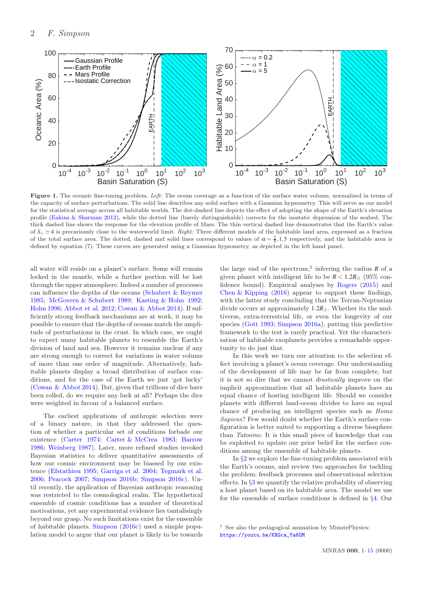

<span id="page-1-1"></span>Figure 1. The oceanic fine-tuning problem. *Left:* The ocean coverage as a function of the surface water volume, normalised in terms of the capacity of surface perturbations. The solid line describes any solid surface with a Gaussian hypsometry. This will serve as our model for the statistical average across all habitable worlds. The dot-dashed line depicts the effect of adopting the shape of the Earth's elevation profile [\(Eakins & Sharman 2012](#page-13-6)), while the dotted line (barely distinguishable) corrects for the isostatic depression of the seabed. The thick dashed line shows the response for the elevation profile of Mars. The thin vertical dashed line demonstrates that the Earth's value of *S*<sup>⊕</sup> ≃ 4 is precariously close to the waterworld limit. *Right:* Three different models of the habitable land area, expressed as a fraction of the total surface area. The dotted, dashed and solid lines correspond to values of  $\alpha = \frac{1}{5}$ , 1,5 respectively, and the habitable area is defined by equation [\(7\)](#page-5-0). These curves are generated using a Gaussian hypsometry, as depicted in the left hand panel.

all water will reside on a planet's surface. Some will remain locked in the mantle, while a further portion will be lost through the upper atmosphere. Indeed a number of processes can influence the depths of the oceans [\(Schubert & Reymer](#page-13-7) [1985](#page-13-7); [McGovern & Schubert 1989](#page-13-8); [Kasting & Holm 1992;](#page-13-9) [Holm 1996](#page-13-10); [Abbot et al. 2012;](#page-13-11) [Cowan & Abbot 2014\)](#page-13-12). If sufficiently strong feedback mechanisms are at work, it may be possible to ensure that the depths of oceans match the amplitude of perturbations in the crust. In which case, we ought to expect many habitable planets to resemble the Earth's division of land and sea. However it remains unclear if any are strong enough to correct for variations in water volume of more than one order of magnitude. Alternatively, habitable planets display a broad distribution of surface conditions, and for the case of the Earth we just 'got lucky' [\(Cowan & Abbot 2014](#page-13-12)). But, given that trillions of dice have been rolled, do we require any luck at all? Perhaps the dice were weighted in favour of a balanced surface.

The earliest applications of anthropic selection were of a binary nature, in that they addressed the question of whether a particular set of conditions forbade our existence [\(Carter 1974;](#page-13-13) [Carter & McCrea 1983](#page-13-14); [Barrow](#page-13-15) [1986](#page-13-15); [Weinberg 1987\)](#page-13-16). Later, more refined studies invoked Bayesian statistics to deliver quantitative assessments of how our cosmic environment may be biassed by our existence [\(Efstathiou 1995;](#page-13-17) [Garriga et al. 2004](#page-13-18); [Tegmark et al.](#page-13-19) [2006](#page-13-19); [Peacock 2007;](#page-13-20) [Simpson 2016b](#page-13-21); [Simpson 2016c](#page-13-22)). Until recently, the application of Bayesian anthropic reasoning was restricted to the cosmological realm. The hypothetical ensemble of cosmic conditions has a number of theoretical motivations, yet any experimental evidence lies tantalisingly beyond our grasp. No such limitations exist for the ensemble of habitable planets. [Simpson](#page-13-22) [\(2016c](#page-13-22)) used a simple population model to argue that our planet is likely to be towards

the large end of the spectrum,<sup>[1](#page-1-0)</sup> inferring the radius  $R$  of a given planet with intelligent life to be  $R < 1.2R_{\oplus}$  (95% confidence bound). Empirical analyses by [Rogers](#page-13-23) [\(2015](#page-13-23)) and Chen  $\&$  Kipping [\(2016\)](#page-13-24) appear to support these findings, with the latter study concluding that the Terran-Neptunian divide occurs at approximately  $1.2R_{\oplus}$ . Whether its the multiverse, extra-terrestrial life, or even the longevity of our species [\(Gott 1993](#page-13-25); [Simpson 2016a](#page-13-26)), putting this predictive framework to the test is rarely practical. Yet the characterisation of habitable exoplanets provides a remarkable opportunity to do just that.

In this work we turn our attention to the selection effect involving a planet's ocean coverage. Our understanding of the development of life may be far from complete, but it is not so dire that we cannot *drastically* improve on the implicit approximation that all habitable planets have an equal chance of hosting intelligent life. Should we consider planets with different land-ocean divides to have an equal chance of producing an intelligent species such as *Homo Sapiens*? Few would doubt whether the Earth's surface configuration is better suited to supporting a diverse biosphere than *Tatooine*. It is this small piece of knowledge that can be exploited to update our prior belief for the surface conditions among the ensemble of habitable planets.

In §[2](#page-2-0) we explore the fine-tuning problem associated with the Earth's oceans, and review two approaches for tackling the problem: feedback processes and observational selection effects. In §[3](#page-4-0) we quantify the relative probability of observing a host planet based on its habitable area. The model we use for the ensemble of surface conditions is defined in §[4.](#page-6-0) Our

<span id="page-1-0"></span><sup>1</sup> See also the pedagogical animation by MinutePhysics: [https://youtu.be/KRGca\\_Ya6OM](https://youtu.be/KRGca_Ya6OM)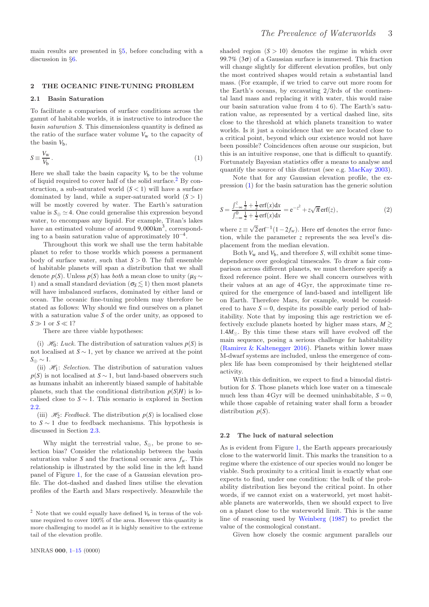main results are presented in §[5,](#page-7-0) before concluding with a discussion in §[6.](#page-9-0)

#### <span id="page-2-0"></span>2 THE OCEANIC FINE-TUNING PROBLEM

#### 2.1 Basin Saturation

To facilitate a comparison of surface conditions across the gamut of habitable worlds, it is instructive to introduce the *basin saturation S*. This dimensionless quantity is defined as the ratio of the surface water volume  $V_w$  to the capacity of the basin  $V_{\rm b}$ ,

<span id="page-2-3"></span>
$$
S \equiv \frac{V_{\rm w}}{V_{\rm b}}\,. \tag{1}
$$

Here we shall take the basin capacity  $V<sub>b</sub>$  to be the volume of liquid required to cover half of the solid surface.[2](#page-2-1) By construction, a sub-saturated world  $(S < 1)$  will have a surface dominated by land, while a super-saturated world  $(S > 1)$ will be mostly covered by water. The Earth's saturation value is  $S_{\oplus} \simeq 4$ . One could generalise this expression beyond water, to encompass any liquid. For example, Titan's lakes have an estimated volume of around 9,000 km<sup>3</sup>, corresponding to a basin saturation value of approximately  $10^{-4}$ .

Throughout this work we shall use the term habitable planet to refer to those worlds which possess a permanent body of surface water, such that *S* > 0. The full ensemble of habitable planets will span a distribution that we shall denote  $p(S)$ . Unless  $p(S)$  has *both* a mean close to unity ( $\mu_S \sim$ 1) and a small standard deviation ( $\sigma_S \lesssim 1$ ) then most planets will have imbalanced surfaces, dominated by either land or ocean. The oceanic fine-tuning problem may therefore be stated as follows: Why should we find ourselves on a planet with a saturation value *S* of the order unity, as opposed to *S* ≫ 1 or *S* ≪ 1?

There are three viable hypotheses:

(i)  $\mathcal{H}_0$ : *Luck*. The distribution of saturation values  $p(S)$  is not localised at *S* ∼ 1, yet by chance we arrived at the point  $S_{\oplus} \sim 1$ .

(ii)  $\mathcal{H}_1$ : *Selection*. The distribution of saturation values  $p(S)$  is not localised at  $S \sim 1$ , but land-based observers such as humans inhabit an inherently biased sample of habitable planets, such that the conditional distribution  $p(S|H)$  is localised close to  $S \sim 1$ . This scenario is explored in Section [2.2.](#page-2-2)

(iii)  $H_2$ : *Feedback*. The distribution  $p(S)$  is localised close to *S* ∼ 1 due to feedback mechanisms. This hypothesis is discussed in Section [2.3.](#page-3-0)

Why might the terrestrial value, *S*⊕, be prone to selection bias? Consider the relationship between the basin saturation value *S* and the fractional oceanic area  $f_w$ . This relationship is illustrated by the solid line in the left hand panel of Figure [1,](#page-1-1) for the case of a Gaussian elevation profile. The dot-dashed and dashed lines utilise the elevation profiles of the Earth and Mars respectively. Meanwhile the shaded region  $(S > 10)$  denotes the regime in which over 99.7% (3 $\sigma$ ) of a Gaussian surface is immersed. This fraction will change slightly for different elevation profiles, but only the most contrived shapes would retain a substantial land mass. (For example, if we tried to carve out more room for the Earth's oceans, by excavating 2/3rds of the continental land mass and replacing it with water, this would raise our basin saturation value from 4 to 6). The Earth's saturation value, as represented by a vertical dashed line, sits close to the threshold at which planets transition to water worlds. Is it just a coincidence that we are located close to a critical point, beyond which our existence would not have been possible? Coincidences often arouse our suspicion, but this is an intuitive response, one that is difficult to quantify. Fortunately Bayesian statistics offer a means to analyse and quantify the source of this distrust (see e.g. [MacKay 2003](#page-13-27)).

Note that for any Gaussian elevation profile, the expression [\(1\)](#page-2-3) for the basin saturation has the generic solution

$$
S = \frac{\int_{-\infty}^{z} \frac{1}{2} + \frac{1}{2} \operatorname{erf}(x) dx}{\int_{-\infty}^{0} \frac{1}{2} + \frac{1}{2} \operatorname{erf}(x) dx} = e^{-z^2} + z\sqrt{\pi} \operatorname{erf}(z),
$$
 (2)

where  $z \equiv \sqrt{2} \text{erf}^{-1} (1 - 2 f_w)$ . Here erf denotes the error function, while the parameter *z* represents the sea level's displacement from the median elevation.

Both  $V_w$  and  $V_b$ , and therefore  $S$ , will exhibit some timedependence over geological timescales. To draw a fair comparison across different planets, we must therefore specify a fixed reference point. Here we shall concern ourselves with their values at an age of 4Gyr, the approximate time required for the emergence of land-based and intelligent life on Earth. Therefore Mars, for example, would be considered to have  $S = 0$ , despite its possible early period of habitability. Note that by imposing this age restriction we effectively exclude planets hosted by higher mass stars,  $M \geq$ 1.4*M*⊙. By this time these stars will have evolved off the main sequence, posing a serious challenge for habitability [\(Ramirez & Kaltenegger 2016](#page-13-28)). Planets within lower mass M-dwarf systems are included, unless the emergence of complex life has been compromised by their heightened stellar activity.

With this definition, we expect to find a bimodal distribution for *S*. Those planets which lose water on a timescale much less than  $4Gyr$  will be deemed uninhabitable,  $S = 0$ , while those capable of retaining water shall form a broader distribution  $p(S)$ .

#### <span id="page-2-2"></span>2.2 The luck of natural selection

As is evident from Figure [1,](#page-1-1) the Earth appears precariously close to the waterworld limit. This marks the transition to a regime where the existence of our species would no longer be viable. Such proximity to a critical limit is exactly what one expects to find, under one condition: the bulk of the probability distribution lies beyond the critical point. In other words, if we cannot exist on a waterworld, yet most habitable planets are waterworlds, then we should expect to live on a planet close to the waterworld limit. This is the same line of reasoning used by [Weinberg](#page-13-16) [\(1987](#page-13-16)) to predict the value of the cosmological constant.

Given how closely the cosmic argument parallels our

<span id="page-2-1"></span><sup>&</sup>lt;sup>2</sup> Note that we could equally have defined  $V<sub>b</sub>$  in terms of the volume required to cover 100% of the area. However this quantity is more challenging to model as it is highly sensitive to the extreme tail of the elevation profile.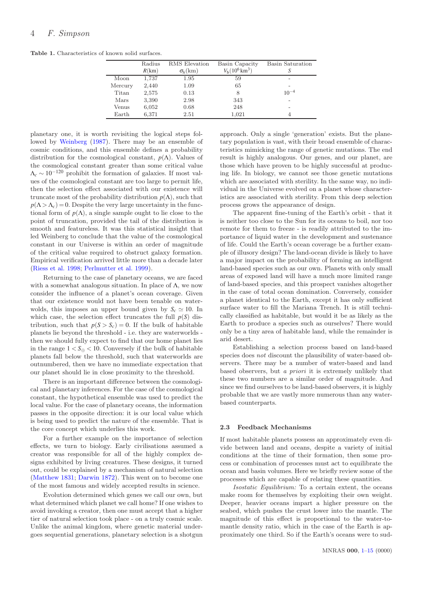<span id="page-3-1"></span>Table 1. Characteristics of known solid surfaces.

|         | Radius<br>R(km) | RMS Elevation<br>$\sigma_h(km)$ | Basin Capacity<br>$V_{\rm b} (10^6 \,\rm km^3)$ | Basin Saturation |
|---------|-----------------|---------------------------------|-------------------------------------------------|------------------|
| Moon    | 1,737           | 1.95                            | 59                                              | -                |
| Mercury | 2,440           | 1.09                            | 65                                              |                  |
| Titan   | 2,575           | 0.13                            | 8                                               | $10^{-4}$        |
| Mars    | 3,390           | 2.98                            | 343                                             |                  |
| Venus   | 6,052           | 0.68                            | 248                                             |                  |
| Earth   | 6.371           | 2.51                            | 1.021                                           |                  |

planetary one, it is worth revisiting the logical steps followed by [Weinberg](#page-13-16) [\(1987\)](#page-13-16). There may be an ensemble of cosmic conditions, and this ensemble defines a probability distribution for the cosmological constant,  $p(\Lambda)$ . Values of the cosmological constant greater than some critical value  $\Lambda_c \sim 10^{-120}$  prohibit the formation of galaxies. If most values of the cosmological constant are too large to permit life, then the selection effect associated with our existence will truncate most of the probability distribution  $p(\Lambda)$ , such that  $p(\Lambda > \Lambda_c) = 0$ . Despite the very large uncertainty in the functional form of  $p(\Lambda)$ , a single sample ought to lie close to the point of truncation, provided the tail of the distribution is smooth and featureless. It was this statistical insight that led Weinberg to conclude that the value of the cosmological constant in our Universe is within an order of magnitude of the critical value required to obstruct galaxy formation. Empirical verification arrived little more than a decade later [\(Riess et al. 1998](#page-13-29); [Perlmutter et al. 1999](#page-13-30)).

Returning to the case of planetary oceans, we are faced with a somewhat analogous situation. In place of  $\Lambda$ , we now consider the influence of a planet's ocean coverage. Given that our existence would not have been tenable on waterwolds, this imposes an upper bound given by  $S_c \simeq 10$ . In which case, the selection effect truncates the full  $p(S)$  distribution, such that  $p(S > S_c) = 0$ . If the bulk of habitable planets lie beyond the threshold - i.e. they are waterworlds then we should fully expect to find that our home planet lies in the range  $1 < S_{\oplus} < 10$ . Conversely if the bulk of habitable planets fall below the threshold, such that waterworlds are outnumbered, then we have no immediate expectation that our planet should lie in close proximity to the threshold.

There is an important difference between the cosmological and planetary inferences. For the case of the cosmological constant, the hypothetical ensemble was used to predict the local value. For the case of planetary oceans, the information passes in the opposite direction: it is our local value which is being used to predict the nature of the ensemble. That is the core concept which underlies this work.

For a further example on the importance of selection effects, we turn to biology. Early civilisations assumed a creator was responsible for all of the highly complex designs exhibited by living creatures. These designs, it turned out, could be explained by a mechanism of natural selection [\(Matthew 1831](#page-13-31); [Darwin 1872](#page-13-32)). This went on to become one of the most famous and widely accepted results in science.

Evolution determined which genes we call our own, but what determined which planet we call home? If one wishes to avoid invoking a creator, then one must accept that a higher tier of natural selection took place - on a truly cosmic scale. Unlike the animal kingdom, where genetic material undergoes sequential generations, planetary selection is a shotgun approach. Only a single 'generation' exists. But the planetary population is vast, with their broad ensemble of characteristics mimicking the range of genetic mutations. The end result is highly analogous. Our genes, and our planet, are those which have proven to be highly successful at producing life. In biology, we cannot see those genetic mutations which are associated with sterility. In the same way, no individual in the Universe evolved on a planet whose characteristics are associated with sterility. From this deep selection process grows the appearance of design.

The apparent fine-tuning of the Earth's orbit - that it is neither too close to the Sun for its oceans to boil, nor too remote for them to freeze - is readily attributed to the importance of liquid water in the development and sustenance of life. Could the Earth's ocean coverage be a further example of illusory design? The land-ocean divide is likely to have a major impact on the probability of forming an intelligent land-based species such as our own. Planets with only small areas of exposed land will have a much more limited range of land-based species, and this prospect vanishes altogether in the case of total ocean domination. Conversely, consider a planet identical to the Earth, except it has only sufficient surface water to fill the Mariana Trench. It is still technically classified as habitable, but would it be as likely as the Earth to produce a species such as ourselves? There would only be a tiny area of habitable land, while the remainder is arid desert.

Establishing a selection process based on land-based species does *not* discount the plausibility of water-based observers. There may be a number of water-based and land based observers, but *a priori* it is extremely unlikely that these two numbers are a similar order of magnitude. And since we find ourselves to be land-based observers, it is highly probable that we are vastly more numerous than any waterbased counterparts.

# <span id="page-3-0"></span>2.3 Feedback Mechanisms

If most habitable planets possess an approximately even divide between land and oceans, despite a variety of initial conditions at the time of their formation, then some process or combination of processes must act to equilibrate the ocean and basin volumes. Here we briefly review some of the processes which are capable of relating these quantities.

*Isostatic Equilibrium:* To a certain extent, the oceans make room for themselves by exploiting their own weight. Deeper, heavier oceans impart a higher pressure on the seabed, which pushes the crust lower into the mantle. The magnitude of this effect is proportional to the water-tomantle density ratio, which in the case of the Earth is approximately one third. So if the Earth's oceans were to sud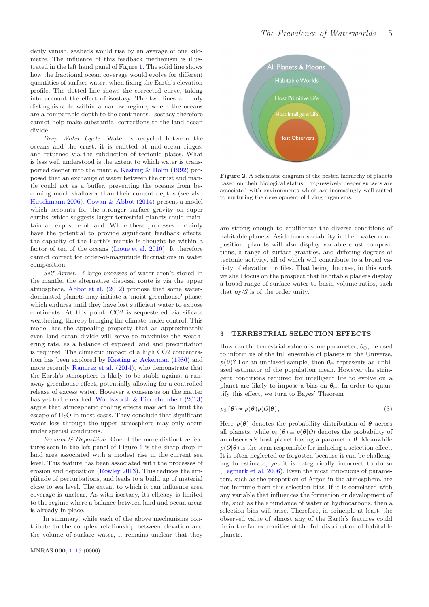denly vanish, seabeds would rise by an average of one kilometre. The influence of this feedback mechanism is illustrated in the left hand panel of Figure [1.](#page-1-1) The solid line shows how the fractional ocean coverage would evolve for different quantities of surface water, when fixing the Earth's elevation profile. The dotted line shows the corrected curve, taking into account the effect of isostasy. The two lines are only distinguishable within a narrow regime, where the oceans are a comparable depth to the continents. Isostacy therefore cannot help make substantial corrections to the land-ocean divide.

*Deep Water Cycle:* Water is recycled between the oceans and the crust: it is emitted at mid-ocean ridges, and returned via the subduction of tectonic plates. What is less well understood is the extent to which water is transported deeper into the mantle. [Kasting & Holm](#page-13-9) [\(1992](#page-13-9)) proposed that an exchange of water between the crust and mantle could act as a buffer, preventing the oceans from becoming much shallower than their current depths (see also [Hirschmann 2006](#page-13-33)). [Cowan & Abbot](#page-13-12) [\(2014](#page-13-12)) present a model which accounts for the stronger surface gravity on super earths, which suggests larger terrestrial planets could maintain an exposure of land. While these processes certainly have the potential to provide significant feedback effects, the capacity of the Earth's mantle is thought be within a factor of ten of the oceans [\(Inoue et al. 2010](#page-13-34)). It therefore cannot correct for order-of-magnitude fluctuations in water composition.

*Self Arrest:* If large excesses of water aren't stored in the mantle, the alternative disposal route is via the upper atmosphere. [Abbot et al.](#page-13-11) [\(2012](#page-13-11)) propose that some waterdominated planets may initiate a 'moist greenhouse' phase, which endures until they have lost sufficient water to expose continents. At this point, CO2 is sequestered via silicate weathering, thereby bringing the climate under control. This model has the appealing property that an approximately even land-ocean divide will serve to maximise the weathering rate, as a balance of exposed land and precipitation is required. The climactic impact of a high CO2 concentration has been explored by [Kasting & Ackerman](#page-13-35) [\(1986\)](#page-13-35) and more recently [Ramirez et al.](#page-13-36) [\(2014](#page-13-36)), who demonstrate that the Earth's atmosphere is likely to be stable against a runaway greenhouse effect, potentially allowing for a controlled release of excess water. However a consensus on the matter has yet to be reached. [Wordsworth & Pierrehumbert](#page-13-37) [\(2013\)](#page-13-37) argue that atmospheric cooling effects may act to limit the escape of  $H_2O$  in most cases. They conclude that significant water loss through the upper atmosphere may only occur under special conditions.

*Erosion & Deposition:* One of the more distinctive features seen in the left panel of Figure [1](#page-1-1) is the sharp drop in land area associated with a modest rise in the current sea level. This feature has been associated with the processes of erosion and deposition [\(Rowley 2013](#page-13-38)). This reduces the amplitude of perturbations, and leads to a build up of material close to sea level. The extent to which it can influence area coverage is unclear. As with isostacy, its efficacy is limited to the regime where a balance between land and ocean areas is already in place.

In summary, while each of the above mechanisms contribute to the complex relationship between elevation and the volume of surface water, it remains unclear that they



<span id="page-4-1"></span>Figure 2. A schematic diagram of the nested hierarchy of planets based on their biological status. Progressively deeper subsets are associated with environments which are increasingly well suited to nurturing the development of living organisms.

are strong enough to equilibrate the diverse conditions of habitable planets. Aside from variability in their water composition, planets will also display variable crust compositions, a range of surface gravities, and differing degrees of tectonic activity, all of which will contribute to a broad variety of elevation profiles. That being the case, in this work we shall focus on the prospect that habitable planets display a broad range of surface water-to-basin volume ratios, such that  $\sigma_S/S$  is of the order unity.

#### <span id="page-4-0"></span>3 TERRESTRIAL SELECTION EFFECTS

How can the terrestrial value of some parameter,  $\theta_{\oplus}$ , be used to inform us of the full ensemble of planets in the Universe,  $p(\theta)$ ? For an unbiased sample, then  $\theta_{\oplus}$  represents an unbiased estimator of the population mean. However the stringent conditions required for intelligent life to evolve on a planet are likely to impose a bias on  $\theta_{\oplus}$ . In order to quantify this effect, we turn to Bayes' Theorem

<span id="page-4-2"></span>
$$
p_{\oplus}(\theta) \propto p(\theta)p(O|\theta), \qquad (3)
$$

Here  $p(\theta)$  denotes the probability distribution of  $\theta$  across all planets, while  $p_{\oplus}(\theta) \equiv p(\theta|O)$  denotes the probability of an observer's host planet having a parameter <sup>θ</sup>. Meanwhile  $p(O|\theta)$  is the term responsible for inducing a selection effect. It is often neglected or forgotten because it can be challenging to estimate, yet it is categorically incorrect to do so [\(Tegmark et al. 2006\)](#page-13-19). Even the most innocuous of parameters, such as the proportion of Argon in the atmosphere, are not immune from this selection bias. If it is correlated with any variable that influences the formation or development of life, such as the abundance of water or hydrocarbons, then a selection bias will arise. Therefore, in principle at least, the observed value of almost any of the Earth's features could lie in the far extremities of the full distribution of habitable planets.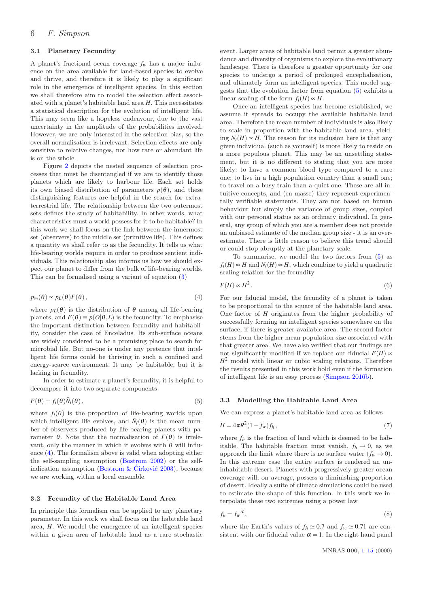## 3.1 Planetary Fecundity

A planet's fractional ocean coverage  $f_w$  has a major influence on the area available for land-based species to evolve and thrive, and therefore it is likely to play a significant role in the emergence of intelligent species. In this section we shall therefore aim to model the selection effect associated with a planet's habitable land area *H*. This necessitates a statistical description for the evolution of intelligent life. This may seem like a hopeless endeavour, due to the vast uncertainty in the amplitude of the probabilities involved. However, we are only interested in the selection bias, so the overall normalisation is irrelevant. Selection effects are only sensitive to relative changes, not how rare or abundant life is on the whole.

Figure [2](#page-4-1) depicts the nested sequence of selection processes that must be disentangled if we are to identify those planets which are likely to harbour life. Each set holds its own biased distribution of parameters  $p(\theta)$ , and these distinguishing features are helpful in the search for extraterrestrial life. The relationship between the two outermost sets defines the study of habitability. In other words, what characteristics must a world possess for it to be habitable? In this work we shall focus on the link between the innermost set (observers) to the middle set (primitive life). This defines a quantity we shall refer to as the fecundity. It tells us what life-bearing worlds require in order to produce sentient individuals. This relationship also informs us how we should expect our planet to differ from the bulk of life-bearing worlds. This can be formalised using a variant of equation [\(3\)](#page-4-2)

<span id="page-5-1"></span>
$$
p_{\oplus}(\theta) \propto p_L(\theta) F(\theta), \qquad (4)
$$

where  $p_L(\theta)$  is the distribution of  $\theta$  among all life-bearing planets, and  $F(\theta) \equiv p(O|\theta, L)$  is the fecundity. To emphasise the important distinction between fecundity and habitability, consider the case of Enceladus. Its sub-surface oceans are widely considered to be a promising place to search for microbial life. But no-one is under any pretence that intelligent life forms could be thriving in such a confined and energy-scarce environment. It may be habitable, but it is lacking in fecundity.

In order to estimate a planet's fecundity, it is helpful to decompose it into two separate components

$$
F(\theta) = f_i(\theta)\bar{N}_i(\theta), \qquad (5)
$$

where  $f_i(\theta)$  is the proportion of life-bearing worlds upon which intelligent life evolves, and  $\bar{N}_i(\theta)$  is the mean number of observers produced by life-bearing planets with parameter <sup>θ</sup>. Note that the normalisation of *F*(θ) is irrelevant, only the manner in which it evolves with  $\theta$  will influence [\(4\)](#page-5-1). The formalism above is valid when adopting either the self-sampling assumption [\(Bostrom 2002\)](#page-13-39) or the selfindication assumption (Bostrom  $&$  Cirković [2003](#page-13-40)), because we are working within a local ensemble.

#### 3.2 Fecundity of the Habitable Land Area

In principle this formalism can be applied to any planetary parameter. In this work we shall focus on the habitable land area, *H*. We model the emergence of an intelligent species within a given area of habitable land as a rare stochastic

event. Larger areas of habitable land permit a greater abundance and diversity of organisms to explore the evolutionary landscape. There is therefore a greater opportunity for one species to undergo a period of prolonged encephalisation, and ultimately form an intelligent species. This model suggests that the evolution factor from equation [\(5\)](#page-5-2) exhibits a linear scaling of the form  $f_i(H) \propto H$ .

Once an intelligent species has become established, we assume it spreads to occupy the available habitable land area. Therefore the mean number of individuals is also likely to scale in proportion with the habitable land area, yielding  $N_i(H)$  ∝ *H*. The reason for its inclusion here is that any given individual (such as yourself) is more likely to reside on a more populous planet. This may be an unsettling statement, but it is no different to stating that you are more likely: to have a common blood type compared to a rare one; to live in a high population country than a small one; to travel on a busy train than a quiet one. These are all intuitive concepts, and (en masse) they represent experimentally verifiable statements. They are not based on human behaviour but simply the variance of group sizes, coupled with our personal status as an ordinary individual. In general, any group of which you are a member does not provide an unbiased estimate of the median group size - it is an overestimate. There is little reason to believe this trend should or could stop abruptly at the planetary scale.

To summarise, we model the two factors from [\(5\)](#page-5-2) as  $f_i(H) \propto H$  and  $N_i(H) \propto H$ , which combine to yield a quadratic scaling relation for the fecundity

<span id="page-5-3"></span>
$$
F(H) \propto H^2. \tag{6}
$$

For our fiducial model, the fecundity of a planet is taken to be proportional to the square of the habitable land area. One factor of *H* originates from the higher probability of successfully forming an intelligent species somewhere on the surface, if there is greater available area. The second factor stems from the higher mean population size associated with that greater area. We have also verified that our findings are not significantly modified if we replace our fiducial  $F(H) \propto$ *H* <sup>2</sup> model with linear or cubic scaling relations. Therefore the results presented in this work hold even if the formation of intelligent life is an easy process [\(Simpson 2016b\)](#page-13-21).

#### <span id="page-5-2"></span>3.3 Modelling the Habitable Land Area

<span id="page-5-0"></span>We can express a planet's habitable land area as follows

$$
H = 4\pi R^2 (1 - f_w) f_h,
$$
\n(7)

where  $f_h$  is the fraction of land which is deemed to be habitable. The habitable fraction must vanish,  $f_h \to 0$ , as we approach the limit where there is no surface water  $(f_w \to 0)$ . In this extreme case the entire surface is rendered an uninhabitable desert. Planets with progressively greater ocean coverage will, on average, possess a diminishing proportion of desert. Ideally a suite of climate simulations could be used to estimate the shape of this function. In this work we interpolate these two extremes using a power law

<span id="page-5-4"></span>
$$
f_h = f_w^{\alpha},\tag{8}
$$

where the Earth's values of  $f_h \approx 0.7$  and  $f_w \approx 0.71$  are consistent with our fiducial value  $\alpha = 1$ . In the right hand panel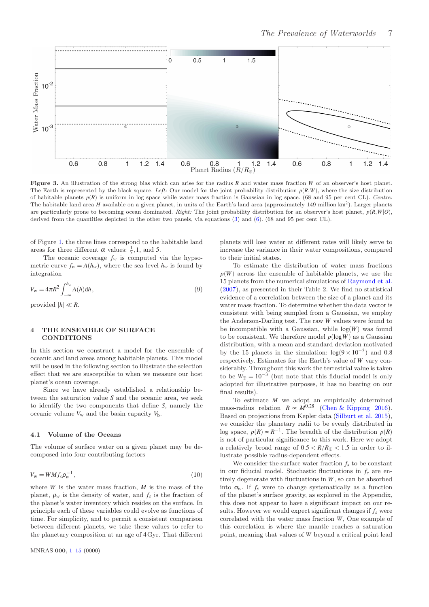

<span id="page-6-2"></span>Figure 3. An illustration of the strong bias which can arise for the radius *R* and water mass fraction *W* of an observer's host planet. The Earth is represented by the black square. *Left:* Our model for the joint probability distribution  $p(R, W)$ , where the size distribution of habitable planets *p*(*R*) is uniform in log space while water mass fraction is Gaussian in log space. (68 and 95 per cent CL). *Centre:* The habitable land area *H* available on a given planet, in units of the Earth's land area (approximately 149 million km<sup>2</sup>). Larger planets are particularly prone to becoming ocean dominated. *Right:* The joint probability distribution for an observer's host planet, *p*(*R*,*W*|*O*), derived from the quantities depicted in the other two panels, via equations [\(3\)](#page-4-2) and [\(6\)](#page-5-3). (68 and 95 per cent CL).

of Figure [1,](#page-1-1) the three lines correspond to the habitable land areas for three different  $\alpha$  values:  $\frac{1}{5}$ , 1, and 5.

The oceanic coverage  $f_w$  is computed via the hypsometric curve  $f_w = A(h_w)$ , where the sea level  $h_w$  is found by integration

<span id="page-6-1"></span>
$$
V_{\rm w} = 4\pi R^2 \int_{-\infty}^{h_{\rm w}} A(h) \mathrm{d}h,\tag{9}
$$

provided  $|h| \ll R$ .

# <span id="page-6-0"></span>4 THE ENSEMBLE OF SURFACE **CONDITIONS**

In this section we construct a model for the ensemble of oceanic and land areas among habitable planets. This model will be used in the following section to illustrate the selection effect that we are susceptible to when we measure our host planet's ocean coverage.

Since we have already established a relationship between the saturation value *S* and the oceanic area, we seek to identify the two components that define *S*, namely the oceanic volume  $V_w$  and the basin capacity  $V_b$ .

#### 4.1 Volume of the Oceans

The volume of surface water on a given planet may be decomposed into four contributing factors

$$
V_{\rm w} = W M f_s \rho_{\rm w}^{-1} \,, \tag{10}
$$

where *W* is the water mass fraction, *M* is the mass of the planet,  $\rho_w$  is the density of water, and  $f_s$  is the fraction of the planet's water inventory which resides on the surface. In principle each of these variables could evolve as functions of time. For simplicity, and to permit a consistent comparison between different planets, we take these values to refer to the planetary composition at an age of 4Gyr. That different planets will lose water at different rates will likely serve to increase the variance in their water compositions, compared to their initial states.

To estimate the distribution of water mass fractions  $p(W)$  across the ensemble of habitable planets, we use the 15 planets from the numerical simulations of [Raymond et al.](#page-13-5) [\(2007](#page-13-5)), as presented in their Table 2. We find no statistical evidence of a correlation between the size of a planet and its water mass fraction. To determine whether the data vector is consistent with being sampled from a Gaussian, we employ the Anderson-Darling test. The raw *W* values were found to be incompatible with a Gaussian, while  $log(W)$  was found to be consistent. We therefore model  $p(\log W)$  as a Gaussian distribution, with a mean and standard deviation motivated by the 15 planets in the simulation:  $\log(9 \times 10^{-3})$  and 0.8 respectively. Estimates for the Earth's value of *W* vary considerably. Throughout this work the terrestrial value is taken to be  $W_{\oplus} = 10^{-3}$  (but note that this fiducial model is only adopted for illustrative purposes, it has no bearing on our final results).

To estimate *M* we adopt an empirically determined mass-radius relation  $R \propto M^{0.28}$  [\(Chen & Kipping 2016](#page-13-24)). Based on projections from Kepler data [\(Silburt et al. 2015](#page-13-41)), we consider the planetary radii to be evenly distributed in log space,  $p(R) \propto R^{-1}$ . The breadth of the distribution  $p(R)$ is not of particular significance to this work. Here we adopt a relatively broad range of  $0.5 < R/R_{\oplus} < 1.5$  in order to illustrate possible radius-dependent effects.

We consider the surface water fraction *fs* to be constant in our fiducial model. Stochastic fluctuations in *fs* are entirely degenerate with fluctuations in *W*, so can be absorbed into  $\sigma_w$ . If  $f_s$  were to change systematically as a function of the planet's surface gravity, as explored in the Appendix, this does not appear to have a significant impact on our results. However we would expect significant changes if  $f_s$  were correlated with the water mass fraction *W*, One example of this correlation is where the mantle reaches a saturation point, meaning that values of *W* beyond a critical point lead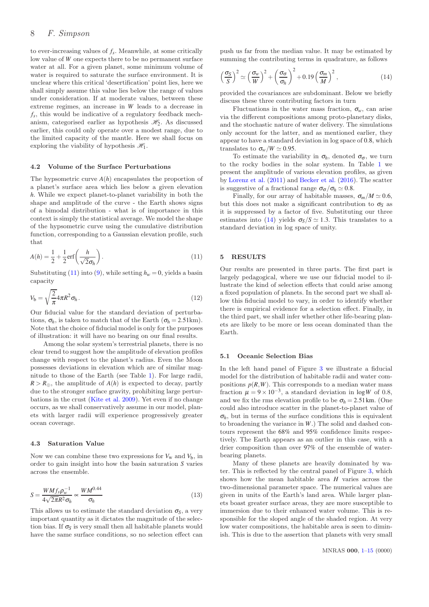# 8 F. Simpson

to ever-increasing values of *fs*. Meanwhile, at some critically low value of *W* one expects there to be no permanent surface water at all. For a given planet, some minimum volume of water is required to saturate the surface environment. It is unclear where this critical 'desertification' point lies, here we shall simply assume this value lies below the range of values under consideration. If at moderate values, between these extreme regimes, an increase in *W* leads to a decrease in  $f_s$ , this would be indicative of a regulatory feedback mechanism, categorised earlier as hypothesis  $\mathcal{H}_2$ . As discussed earlier, this could only operate over a modest range, due to the limited capacity of the mantle. Here we shall focus on exploring the viability of hypothesis  $\mathcal{H}_1$ .

#### 4.2 Volume of the Surface Perturbations

The hypsometric curve *A*(*h*) encapsulates the proportion of a planet's surface area which lies below a given elevation *h*. While we expect planet-to-planet variability in both the shape and amplitude of the curve - the Earth shows signs of a bimodal distribution - what is of importance in this context is simply the statistical average. We model the shape of the hypsometric curve using the cumulative distribution function, corresponding to a Gaussian elevation profile, such that

<span id="page-7-1"></span>
$$
A(h) = \frac{1}{2} + \frac{1}{2} \text{erf}\left(\frac{h}{\sqrt{2}\sigma_h}\right). \tag{11}
$$

Substituting [\(11\)](#page-7-1) into [\(9\)](#page-6-1), while setting  $h_w = 0$ , yields a basin capacity

$$
V_{\rm b} = \sqrt{\frac{2}{\pi}} 4\pi R^2 \sigma_h.
$$
\n(12)

Our fiducial value for the standard deviation of perturbations,  $\sigma_h$ , is taken to match that of the Earth ( $\sigma_h = 2.51 \text{km}$ ). Note that the choice of fiducial model is only for the purposes of illustration: it will have no bearing on our final results.

Among the solar system's terrestrial planets, there is no clear trend to suggest how the amplitude of elevation profiles change with respect to the planet's radius. Even the Moon possesses deviations in elevation which are of similar magnitude to those of the Earth (see Table [1\)](#page-3-1). For large radii,  $R > R_{\oplus}$ , the amplitude of  $A(h)$  is expected to decay, partly due to the stronger surface gravity, prohibiting large perturbations in the crust [\(Kite et al. 2009\)](#page-13-42). Yet even if no change occurs, as we shall conservatively assume in our model, planets with larger radii will experience progressively greater ocean coverage.

#### 4.3 Saturation Value

<span id="page-7-3"></span>Now we can combine these two expressions for  $V_w$  and  $V_b$ , in order to gain insight into how the basin saturation *S* varies across the ensemble.

$$
S = \frac{W M f_s \rho_w^{-1}}{4\sqrt{2\pi}R^2 \sigma_h} \propto \frac{W M^{0.44}}{\sigma_h} \tag{13}
$$

This allows us to estimate the standard deviation  $\sigma_S$ , a very important quantity as it dictates the magnitude of the selection bias. If  $\sigma_s$  is very small then all habitable planets would have the same surface conditions, so no selection effect can

<span id="page-7-2"></span>push us far from the median value. It may be estimated by summing the contributing terms in quadrature, as follows

$$
\left(\frac{\sigma_S}{S}\right)^2 \simeq \left(\frac{\sigma_w}{W}\right)^2 + \left(\frac{\sigma_\sigma}{\sigma_h}\right)^2 + 0.19 \left(\frac{\sigma_m}{M}\right)^2,\tag{14}
$$

provided the covariances are subdominant. Below we briefly discuss these three contributing factors in turn

Fluctuations in the water mass fraction,  $\sigma_w$ , can arise via the different compositions among proto-planetary disks, and the stochastic nature of water delivery. The simulations only account for the latter, and as mentioned earlier, they appear to have a standard deviation in log space of 0.8, which translates to  $\sigma_w/W \simeq 0.95$ .

To estimate the variability in  $\sigma_h$ , denoted  $\sigma_{\sigma}$ , we turn to the rocky bodies in the solar system. In Table [1](#page-3-1) we present the amplitude of various elevation profiles, as given by [Lorenz et al.](#page-13-43) [\(2011](#page-13-43)) and [Becker et al.](#page-13-44) [\(2016](#page-13-44)). The scatter is suggestive of a fractional range  $\sigma_{\sigma}/\sigma_{h} \simeq 0.8$ .

Finally, for our array of habitable masses,  $\sigma_m/M \simeq 0.6$ , but this does not make a significant contribution to  $\sigma_S$  as it is suppressed by a factor of five. Substituting our three estimates into [\(14\)](#page-7-2) yields  $\sigma_S/S \simeq 1.3$ . This translates to a standard deviation in log space of unity.

# <span id="page-7-0"></span>5 RESULTS

Our results are presented in three parts. The first part is largely pedagogical, where we use our fiducial model to illustrate the kind of selection effects that could arise among a fixed population of planets. In the second part we shall allow this fiducial model to vary, in order to identify whether there is empirical evidence for a selection effect. Finally, in the third part, we shall infer whether other life-bearing planets are likely to be more or less ocean dominated than the Earth.

#### 5.1 Oceanic Selection Bias

In the left hand panel of Figure [3](#page-6-2) we illustrate a fiducial model for the distribution of habitable radii and water compositions  $p(R, W)$ . This corresponds to a median water mass fraction  $\mu = 9 \times 10^{-3}$ , a standard deviation in log *W* of 0.8, and we fix the rms elevation profile to be  $\sigma_h = 2.51 \text{ km}$ . (One could also introduce scatter in the planet-to-planet value of  $\sigma_h$ , but in terms of the surface conditions this is equivalent to broadening the variance in *W*.) The solid and dashed contours represent the 68% and 95% confidence limits respectively. The Earth appears as an outlier in this case, with a drier composition than over 97% of the ensemble of waterbearing planets.

Many of these planets are heavily dominated by water. This is reflected by the central panel of Figure [3,](#page-6-2) which shows how the mean habitable area *H* varies across the two-dimensional parameter space. The numerical values are given in units of the Earth's land area. While larger planets boast greater surface areas, they are more susceptible to immersion due to their enhanced water volume. This is responsible for the sloped angle of the shaded region. At very low water compositions, the habitable area is seen to diminish. This is due to the assertion that planets with very small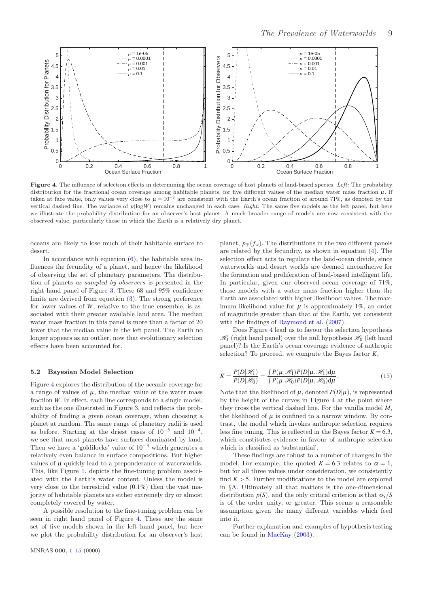

<span id="page-8-0"></span>Figure 4. The influence of selection effects in determining the ocean coverage of host planets of land-based species. *Left:* The probability distribution for the fractional ocean coverage among habitable planets, for five different values of the median water mass fraction  $\mu$ . If taken at face value, only values very close to  $\mu = 10^{-3}$  are consistent with the Earth's ocean fraction of around 71%, as denoted by the vertical dashed line. The variance of *p*(log*W*) remains unchanged in each case. *Right:* The same five models as the left panel, but here we illustrate the probability distribution for an observer's host planet. A much broader range of models are now consistent with the observed value, particularly those in which the Earth is a relatively dry planet.

oceans are likely to lose much of their habitable surface to desert.

In accordance with equation  $(6)$ , the habitable area influences the fecundity of a planet, and hence the likelihood of observing the set of planetary parameters. The distribution of planets *as sampled by observers* is presented in the right hand panel of Figure [3.](#page-6-2) These 68 and 95% confidence limits are derived from equation [\(3\)](#page-4-2). The strong preference for lower values of *W*, relative to the true ensemble, is associated with their greater available land area. The median water mass fraction in this panel is more than a factor of 20 lower that the median value in the left panel. The Earth no longer appears as an outlier, now that evolutionary selection effects have been accounted for.

#### 5.2 Bayesian Model Selection

Figure [4](#page-8-0) explores the distribution of the oceanic coverage for a range of values of  $\mu$ , the median value of the water mass fraction *W*. In effect, each line corresponds to a single model, such as the one illustrated in Figure [3,](#page-6-2) and reflects the probability of finding a given ocean coverage, when choosing a planet at random. The same range of planetary radii is used as before. Starting at the driest cases of  $10^{-5}$  and  $10^{-4}$ , we see that most planets have surfaces dominated by land. Then we have a 'goldilocks' value of  $10^{-3}$  which generates a relatively even balance in surface compositions. But higher values of  $\mu$  quickly lead to a preponderance of waterworlds. This, like Figure [1,](#page-1-1) depicts the fine-tuning problem associated with the Earth's water content. Unless the model is very close to the terrestrial value (0.1%) then the vast majority of habitable planets are either extremely dry or almost completely covered by water.

A possible resolution to the fine-tuning problem can be seen in right hand panel of Figure [4.](#page-8-0) These are the same set of five models shown in the left hand panel, but here we plot the probability distribution for an observer's host

planet,  $p_{\oplus}(f_w)$ . The distributions in the two different panels are related by the fecundity, as shown in equation [\(4\)](#page-5-1). The selection effect acts to regulate the land-ocean divide, since waterworlds and desert worlds are deemed unconducive for the formation and proliferation of land-based intelligent life. In particular, given our observed ocean coverage of 71%, those models with a water mass fraction higher than the Earth are associated with higher likelihood values. The maximum likelihood value for  $\mu$  is approximately 1%, an order of magnitude greater than that of the Earth, yet consistent with the findings of [Raymond et al.](#page-13-5) [\(2007\)](#page-13-5).

Does Figure [4](#page-8-0) lead us to favour the selection hypothesis  $\mathcal{H}_1$  (right hand panel) over the null hypothesis  $\mathcal{H}_0$  (left hand panel)? Is the Earth's ocean coverage evidence of anthropic selection? To proceed, we compute the Bayes factor *K*,

$$
K = \frac{P(D|\mathcal{H}_1)}{P(D|\mathcal{H}_0)} = \frac{\int P(\mu|\mathcal{H}_1)P(D|\mu,\mathcal{H}_1)d\mu}{\int P(\mu|\mathcal{H}_0)P(D|\mu,\mathcal{H}_0)d\mu}.
$$
(15)

Note that the likelihood of  $\mu$ , denoted  $P(D|\mu)$ , is represented by the height of the curves in Figure [4](#page-8-0) at the point where they cross the vertical dashed line. For the vanilla model *M*, the likelihood of  $\mu$  is confined to a narrow window. By contrast, the model which invokes anthropic selection requires less fine tuning. This is reflected in the Bayes factor  $K = 6.3$ , which constitutes evidence in favour of anthropic selection which is classified as 'substantial'.

These findings are robust to a number of changes in the model. For example, the quoted  $K = 6.3$  relates to  $\alpha = 1$ . but for all three values under consideration, we consistently find  $K > 5$ . Further modifications to the model are explored in §[A.](#page-11-0) Ultimately all that matters is the one-dimensional distribution  $p(S)$ , and the only critical criterion is that  $\sigma_S/S$ is of the order unity, or greater. This seems a reasonable assumption given the many different variables which feed into it.

Further explanation and examples of hypothesis testing can be found in [MacKay](#page-13-27) [\(2003](#page-13-27)).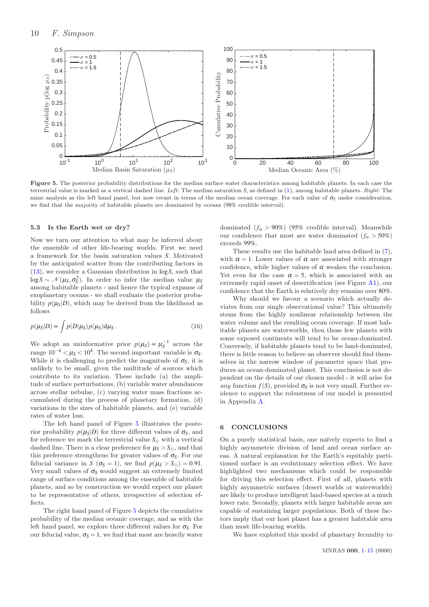

<span id="page-9-1"></span>Figure 5. The posterior probability distributions for the median surface water characteristics among habitable planets. In each case the terrestrial value is marked as a vertical dashed line. *Left:* The median saturation *S*, as defined in [\(1\)](#page-2-3), among habitable planets. *Right:* The same analysis as the left hand panel, but now recast in terms of the median ocean coverage. For each value of  $\sigma_s$  under consideration, we find that the majority of habitable planets are dominated by oceans (98% credible interval).

#### 5.3 Is the Earth wet or dry?

Now we turn our attention to what may be inferred about the ensemble of other life-bearing worlds. First we need a framework for the basin saturation values *S*. Motivated by the anticipated scatter from the contributing factors in [\(13\)](#page-7-3), we consider a Gaussian distribution in log*S*, such that  $\log S \sim \mathcal{N}(\mu_S, \sigma_S^2)$ . In order to infer the median value  $\mu_S$ among habitable planets - and hence the typical expanse of exoplanetary oceans - we shall evaluate the posterior probability  $p(\mu_S|D)$ , which may be derived from the likelihood as follows

$$
p(\mu_S|D) \propto \int p(D|\mu_S) p(\mu_S) d\mu_S. \tag{16}
$$

We adopt an uninformative prior  $p(\mu_S) \propto \mu_S^{-1}$  across the range  $10^{-4} < \mu_s < 10^4$ . The second important variable is  $\sigma_s$ . While it is challenging to predict the magnitude of  $\sigma_s$ , it is unlikely to be small, given the multitude of sources which contribute to its variation. These include (a) the amplitude of surface perturbations, (b) variable water abundances across stellar nebulae, (c) varying water mass fractions accumulated during the process of planetary formation, (d) variations in the sizes of habitable planets, and (e) variable rates of water loss.

The left hand panel of Figure [5](#page-9-1) illustrates the posterior probability  $p(\mu_S|D)$  for three different values of  $\sigma_S$ , and for reference we mark the terrestrial value  $S_{\oplus}$  with a vertical dashed line. There is a clear preference for  $\mu_S > S_{\oplus}$ , and that this preference strengthens for greater values of  $\sigma_S$ . For our fiducial variance in *S* ( $\sigma_s = 1$ ), we find  $p(\mu_s > S_{\oplus}) = 0.91$ . Very small values of  $\sigma_s$  would suggest an extremely limited range of surface conditions among the ensemble of habitable planets, and so by construction we would expect our planet to be representative of others, irrespective of selection effects.

The right hand panel of Figure [5](#page-9-1) depicts the cumulative probability of the median oceanic coverage, and as with the left hand panel, we explore three different values for  $\sigma_S$ . For our fiducial value,  $\sigma_s = 1$ , we find that most are heavily water

dominated  $(f_w > 90\%)$  (95% credible interval). Meanwhile our confidence that most are water dominated  $(f_w > 50\%)$ exceeds 99%.

These results use the habitable land area defined in [\(7\)](#page-5-0), with  $\alpha = 1$ . Lower values of  $\alpha$  are associated with stronger confidence, while higher values of  $\alpha$  weaken the conclusion. Yet even for the case  $\alpha = 5$ , which is associated with an extremely rapid onset of desertification (see Figure [A1\)](#page-11-1), our confidence that the Earth is relatively dry remains over 80%.

Why should we favour a scenario which actually deviates from our single observational value? This ultimately stems from the highly nonlinear relationship between the water volume and the resulting ocean coverage. If most habitable planets are waterworlds, then those few planets with some exposed continents will tend to be ocean-dominated. Conversely, if habitable planets tend to be land-dominated, there is little reason to believe an observer should find themselves in the narrow window of parameter space that produces an ocean-dominated planet. This conclusion is not dependent on the details of our chosen model - it will arise for *any* function  $f(S)$ , provided  $\sigma_S$  is not very small. Further evidence to support the robustness of our model is presented in Appendix [A.](#page-11-0)

## <span id="page-9-0"></span>6 CONCLUSIONS

On a purely statistical basis, one naïvely expects to find a highly asymmetric division of land and ocean surface areas. A natural explanation for the Earth's equitably partitioned surface is an evolutionary selection effect. We have highlighted two mechanisms which could be responsible for driving this selection effect. First of all, planets with highly asymmetric surfaces (desert worlds or waterworlds) are likely to produce intelligent land-based species at a much lower rate. Secondly, planets with larger habitable areas are capable of sustaining larger populations. Both of these factors imply that our host planet has a greater habitable area than most life-bearing worlds.

We have exploited this model of planetary fecundity to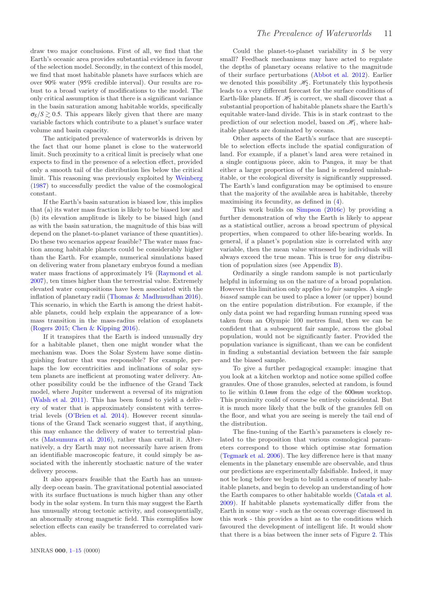draw two major conclusions. First of all, we find that the Earth's oceanic area provides substantial evidence in favour of the selection model. Secondly, in the context of this model, we find that most habitable planets have surfaces which are over 90% water (95% credible interval). Our results are robust to a broad variety of modifications to the model. The only critical assumption is that there is a significant variance in the basin saturation among habitable worlds, specifically  $\sigma_S/S \gtrsim 0.5$ . This appears likely given that there are many variable factors which contribute to a planet's surface water volume and basin capacity.

The anticipated prevalence of waterworlds is driven by the fact that our home planet is close to the waterworld limit. Such proximity to a critical limit is precisely what one expects to find in the presence of a selection effect, provided only a smooth tail of the distribution lies below the critical limit. This reasoning was previously exploited by [Weinberg](#page-13-16) [\(1987](#page-13-16)) to successfully predict the value of the cosmological constant.

If the Earth's basin saturation is biased low, this implies that (a) its water mass fraction is likely to be biased low and (b) its elevation amplitude is likely to be biased high (and as with the basin saturation, the magnitude of this bias will depend on the planet-to-planet variance of these quantities). Do these two scenarios appear feasible? The water mass fraction among habitable planets could be considerably higher than the Earth. For example, numerical simulations based on delivering water from planetary embryos found a median water mass fractions of approximately 1% [\(Raymond et al.](#page-13-5) [2007](#page-13-5)), ten times higher than the terrestrial value. Extremely elevated water compositions have been associated with the inflation of planetary radii [\(Thomas & Madhusudhan 2016](#page-13-45)). This scenario, in which the Earth is among the driest habitable planets, could help explain the appearance of a lowmass transition in the mass-radius relation of exoplanets [\(Rogers 2015](#page-13-23); [Chen & Kipping 2016](#page-13-24)).

If it transpires that the Earth is indeed unusually dry for a habitable planet, then one might wonder what the mechanism was. Does the Solar System have some distinguishing feature that was responsible? For example, perhaps the low eccentricities and inclinations of solar system planets are inefficient at promoting water delivery. Another possibility could be the influence of the Grand Tack model, where Jupiter underwent a reversal of its migration [\(Walsh et al. 2011](#page-13-46)). This has been found to yield a delivery of water that is approximately consistent with terrestrial levels [\(O'Brien et al. 2014\)](#page-13-47). However recent simulations of the Grand Tack scenario suggest that, if anything, this may enhance the delivery of water to terrestrial planets [\(Matsumura et al. 2016](#page-13-48)), rather than curtail it. Alternatively, a dry Earth may not necessarily have arisen from an identifiable macroscopic feature, it could simply be associated with the inherently stochastic nature of the water delivery process.

It also appears feasible that the Earth has an unusually deep ocean basin. The gravitational potential associated with its surface fluctuations is much higher than any other body in the solar system. In turn this may suggest the Earth has unusually strong tectonic activity, and consequentially, an abnormally strong magnetic field. This exemplifies how selection effects can easily be transferred to correlated variables.

Could the planet-to-planet variability in *S* be very small? Feedback mechanisms may have acted to regulate the depths of planetary oceans relative to the magnitude of their surface perturbations [\(Abbot et al. 2012](#page-13-11)). Earlier we denoted this possibility  $\mathcal{H}_2$ . Fortunately this hypothesis leads to a very different forecast for the surface conditions of Earth-like planets. If  $\mathcal{H}_2$  is correct, we shall discover that a substantial proportion of habitable planets share the Earth's equitable water-land divide. This is in stark contrast to the prediction of our selection model, based on  $\mathcal{H}_1$ , where habitable planets are dominated by oceans.

Other aspects of the Earth's surface that are susceptible to selection effects include the spatial configuration of land. For example, if a planet's land area were retained in a single contiguous piece, akin to Pangea, it may be that either a larger proportion of the land is rendered uninhabitable, or the ecological diversity is significantly suppressed. The Earth's land configuration may be optimised to ensure that the majority of the available area is habitable, thereby maximising its fecundity, as defined in [\(4\)](#page-5-1).

This work builds on [Simpson](#page-13-22) [\(2016c](#page-13-22)) by providing a further demonstration of why the Earth is likely to appear as a statistical outlier, across a broad spectrum of physical properties, when compared to other life-bearing worlds. In general, if a planet's population size is correlated with any variable, then the mean value witnessed by individuals will always exceed the true mean. This is true for *any* distribution of population sizes (see Appendix [B\)](#page-12-0).

Ordinarily a single random sample is not particularly helpful in informing us on the nature of a broad population. However this limitation only applies to *fair* samples. A single *biased* sample can be used to place a lower (or upper) bound on the entire population distribution. For example, if the only data point we had regarding human running speed was taken from an Olympic 100 metres final, then we can be confident that a subsequent fair sample, across the global population, would not be significantly faster. Provided the population variance is significant, than we can be confident in finding a substantial deviation between the fair sample and the biased sample.

To give a further pedagogical example: imagine that you look at a kitchen worktop and notice some spilled coffee granules. One of those granules, selected at random, is found to lie within 0.1*mm* from the edge of the 600*mm* worktop. This proximity could of course be entirely coincidental. But it is much more likely that the bulk of the granules fell on the floor, and what you are seeing is merely the tail end of the distribution.

The fine-tuning of the Earth's parameters is closely related to the proposition that various cosmological parameters correspond to those which optimise star formation [\(Tegmark et al. 2006\)](#page-13-19). The key difference here is that many elements in the planetary ensemble are observable, and thus our predictions are experimentally falsifiable. Indeed, it may not be long before we begin to build a census of nearby habitable planets, and begin to develop an understanding of how the Earth compares to other habitable worlds [\(Catala et al.](#page-13-49) [2009](#page-13-49)). If habitable planets systematically differ from the Earth in some way - such as the ocean coverage discussed in this work - this provides a hint as to the conditions which favoured the development of intelligent life. It would show that there is a bias between the inner sets of Figure [2.](#page-4-1) This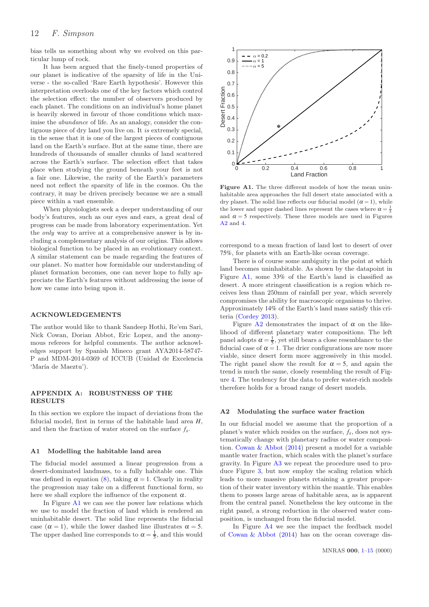bias tells us something about why we evolved on this particular lump of rock.

It has been argued that the finely-tuned properties of our planet is indicative of the sparsity of life in the Universe - the so-called 'Rare Earth hypothesis'. However this interpretation overlooks one of the key factors which control the selection effect: the number of observers produced by each planet. The conditions on an individual's home planet is heavily skewed in favour of those conditions which maximise the *abundance* of life. As an analogy, consider the contiguous piece of dry land you live on. It *is* extremely special, in the sense that it is one of the largest pieces of contiguous land on the Earth's surface. But at the same time, there are hundreds of thousands of smaller chunks of land scattered across the Earth's surface. The selection effect that takes place when studying the ground beneath your feet is not a fair one. Likewise, the rarity of the Earth's parameters need not reflect the sparsity of life in the cosmos. On the contrary, it may be driven precisely because we are a small piece within a vast ensemble.

When physiologists seek a deeper understanding of our body's features, such as our eyes and ears, a great deal of progress can be made from laboratory experimentation. Yet the *only* way to arrive at a comprehensive answer is by including a complementary analysis of our origins. This allows biological function to be placed in an evolutionary context. A similar statement can be made regarding the features of our planet. No matter how formidable our understanding of planet formation becomes, one can never hope to fully appreciate the Earth's features without addressing the issue of how we came into being upon it.

#### ACKNOWLEDGEMENTS

The author would like to thank Sandeep Hothi, Re'em Sari, Nick Cowan, Dorian Abbot, Eric Lopez, and the anonymous referees for helpful comments. The author acknowledges support by Spanish Mineco grant AYA2014-58747- P and MDM-2014-0369 of ICCUB (Unidad de Excelencia 'María de Maeztu').

# <span id="page-11-0"></span>APPENDIX A: ROBUSTNESS OF THE RESULTS

In this section we explore the impact of deviations from the fiducial model, first in terms of the habitable land area *H*, and then the fraction of water stored on the surface *fs*.

#### A1 Modelling the habitable land area

The fiducial model assumed a linear progression from a desert-dominated landmass, to a fully habitable one. This was defined in equation [\(8\)](#page-5-4), taking  $\alpha = 1$ . Clearly in reality the progression may take on a different functional form, so here we shall explore the influence of the exponent  $\alpha$ .

In Figure [A1](#page-11-1) we can see the power law relations which we use to model the fraction of land which is rendered an uninhabitable desert. The solid line represents the fiducial case  $(\alpha = 1)$ , while the lower dashed line illustrates  $\alpha = 5$ . The upper dashed line corresponds to  $\alpha = \frac{1}{5}$ , and this would



<span id="page-11-1"></span>Figure A1. The three different models of how the mean uninhabitable area approaches the full desert state associated with a dry planet. The solid line reflects our fiducial model  $(\alpha = 1)$ , while the lower and upper dashed lines represent the cases where  $\alpha = \frac{1}{5}$ and  $\alpha = 5$  respectively. These three models are used in Figures [A2](#page-12-1) and [4.](#page-8-0)

correspond to a mean fraction of land lost to desert of over 75%, for planets with an Earth-like ocean coverage.

There is of course some ambiguity in the point at which land becomes uninhabitable. As shown by the datapoint in Figure [A1,](#page-11-1) some 33% of the Earth's land is classified as desert. A more stringent classification is a region which receives less than 250mm of rainfall per year, which severely compromises the ability for macroscopic organisms to thrive. Approximately 14% of the Earth's land mass satisfy this criteria [\(Cordey 2013](#page-13-50)).

Figure [A2](#page-12-1) demonstrates the impact of  $\alpha$  on the likelihood of different planetary water compositions. The left panel adopts  $\alpha = \frac{1}{5}$ , yet still bears a close resemblance to the fiducial case of  $\alpha = 1$ . The drier configurations are now more viable, since desert form more aggressively in this model. The right panel show the result for  $\alpha = 5$ , and again the trend is much the same, closely resembling the result of Figure [4.](#page-8-0) The tendency for the data to prefer water-rich models therefore holds for a broad range of desert models.

#### A2 Modulating the surface water fraction

In our fiducial model we assume that the proportion of a planet's water which resides on the surface, *fs*, does not systematically change with planetary radius or water composition. [Cowan & Abbot](#page-13-12) [\(2014](#page-13-12)) present a model for a variable mantle water fraction, which scales with the planet's surface gravity. In Figure [A3](#page-12-2) we repeat the procedure used to produce Figure [3,](#page-6-2) but now employ the scaling relation which leads to more massive planets retaining a greater proportion of their water inventory within the mantle. This enables them to posses large areas of habitable area, as is apparent from the central panel. Nonetheless the key outcome in the right panel, a strong reduction in the observed water composition, is unchanged from the fiducial model.

In Figure [A4](#page-13-51) we see the impact the feedback model of [Cowan & Abbot](#page-13-12) [\(2014\)](#page-13-12) has on the ocean coverage dis-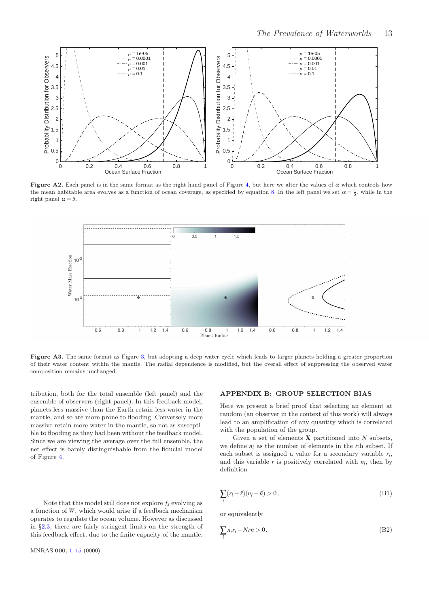

Figure A2. Each panel is in the same format as the right hand panel of Figure [4,](#page-8-0) but here we alter the values of  $\alpha$  which controls how the mean habitable area evolves as a function of ocean coverage, as specified by equation [8.](#page-5-4) In the left panel we set  $\alpha = \frac{1}{5}$ , while in the right panel  $\alpha = 5$ .

<span id="page-12-1"></span>

<span id="page-12-2"></span>Figure A3. The same format as Figure [3,](#page-6-2) but adopting a deep water cycle which leads to larger planets holding a greater proportion of their water content within the mantle. The radial dependence is modified, but the overall effect of suppressing the observed water composition remains unchanged.

tribution, both for the total ensemble (left panel) and the ensemble of observers (right panel). In this feedback model, planets less massive than the Earth retain less water in the mantle, and so are more prone to flooding. Conversely more massive retain more water in the mantle, so not as susceptible to flooding as they had been without the feedback model. Since we are viewing the average over the full ensemble, the net effect is barely distinguishable from the fiducial model of Figure [4.](#page-8-0)

#### <span id="page-12-0"></span>APPENDIX B: GROUP SELECTION BIAS

Here we present a brief proof that selecting an element at random (an observer in the context of this work) will always lead to an amplification of any quantity which is correlated with the population of the group.

Given a set of elements X partitioned into *N* subsets, we define  $n_i$  as the number of elements in the *i*th subset. If each subset is assigned a value for a secondary variable *ri* , and this variable  $r$  is positively correlated with  $n_i$ , then by definition

$$
\sum_{i} (r_i - \bar{r})(n_i - \bar{n}) > 0,
$$
\n(B1)

or equivalently

$$
\sum_{i} n_i r_i - N \bar{r} \bar{n} > 0. \tag{B2}
$$

a function of *W*, which would arise if a feedback mechanism operates to regulate the ocean volume. However as discussed in §[2.3,](#page-3-0) there are fairly stringent limits on the strength of this feedback effect, due to the finite capacity of the mantle.

Note that this model still does not explore *fs* evolving as

MNRAS 000, [1–](#page-0-0)[15](#page-13-0) (0000)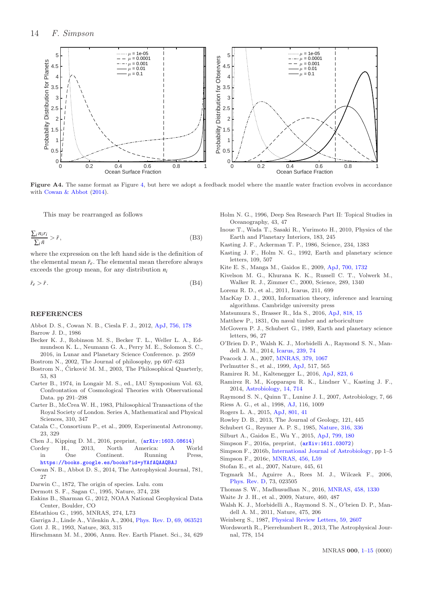

Figure A4. The same format as Figure [4,](#page-8-0) but here we adopt a feedback model where the mantle water fraction evolves in accordance with [Cowan & Abbot](#page-13-12) [\(2014](#page-13-12)).

<span id="page-13-51"></span>This may be rearranged as follows

$$
\frac{\sum_{i} n_i r_i}{\sum_{i} \bar{n}} > \bar{r},\tag{B3}
$$

where the expression on the left hand side is the definition of the elemental mean  $\bar{r}_e$ . The elemental mean therefore always exceeds the group mean, for any distribution *ni*

$$
\bar{r}_e > \bar{r}.\tag{B4}
$$

# REFERENCES

- <span id="page-13-11"></span>Abbot D. S., Cowan N. B., Ciesla F. J., 2012, [ApJ,](http://dx.doi.org/10.1088/0004-637X/756/2/178) [756, 178](http://adsabs.harvard.edu/abs/2012ApJ...756..178A) Barrow J. D., 1986
- <span id="page-13-44"></span><span id="page-13-15"></span>Becker K. J., Robinson M. S., Becker T. L., Weller L. A., Edmundson K. L., Neumann G. A., Perry M. E., Solomon S. C., 2016, in Lunar and Planetary Science Conference. p. 2959
- <span id="page-13-39"></span>Bostrom N., 2002, The Journal of philosophy, pp 607–623
- <span id="page-13-40"></span>Bostrom N., Ćirković M. M., 2003, The Philosophical Quarterly, 53, 83
- <span id="page-13-13"></span>Carter B., 1974, in Longair M. S., ed., IAU Symposium Vol. 63, Confrontation of Cosmological Theories with Observational Data. pp 291–298
- <span id="page-13-14"></span>Carter B., McCrea W. H., 1983, Philosophical Transactions of the Royal Society of London. Series A, Mathematical and Physical Sciences, 310, 347
- <span id="page-13-49"></span>Catala C., Consortium P., et al., 2009, Experimental Astronomy, 23, 329
- <span id="page-13-24"></span>Chen J., Kipping D. M., 2016, preprint, ([arXiv:1603.08614](http://arxiv.org/abs/1603.08614))
- <span id="page-13-50"></span>Cordey H., 2013, North America: A World in One Continent. Running Press, <https://books.google.es/books?id=yYAfAQAAQBAJ>
- <span id="page-13-12"></span>Cowan N. B., Abbot D. S., 2014, The Astrophysical Journal, 781, 27
- <span id="page-13-32"></span>Darwin C., 1872, The origin of species. Lulu. com
- <span id="page-13-1"></span>Dermott S. F., Sagan C., 1995, Nature, 374, 238
- <span id="page-13-6"></span>Eakins B., Sharman G., 2012, NOAA National Geophysical Data Center, Boulder, CO
- <span id="page-13-17"></span>Efstathiou G., 1995, MNRAS, 274, L73
- <span id="page-13-18"></span>Garriga J., Linde A., Vilenkin A., 2004, [Phys. Rev. D,](http://dx.doi.org/10.1103/PhysRevD.69.063521) [69, 063521](http://adsabs.harvard.edu/abs/2004PhRvD..69f3521G)
- <span id="page-13-25"></span>Gott J. R., 1993, Nature, 363, 315
- <span id="page-13-33"></span>Hirschmann M. M., 2006, Annu. Rev. Earth Planet. Sci., 34, 629
- <span id="page-13-10"></span>Holm N. G., 1996, Deep Sea Research Part II: Topical Studies in Oceanography, 43, 47
- <span id="page-13-34"></span>Inoue T., Wada T., Sasaki R., Yurimoto H., 2010, Physics of the Earth and Planetary Interiors, 183, 245
- <span id="page-13-35"></span>Kasting J. F., Ackerman T. P., 1986, Science, 234, 1383
- <span id="page-13-9"></span>Kasting J. F., Holm N. G., 1992, Earth and planetary science letters, 109, 507
- <span id="page-13-42"></span><span id="page-13-0"></span>Kite E. S., Manga M., Gaidos E., 2009, [ApJ,](http://dx.doi.org/10.1088/0004-637X/700/2/1732) [700, 1732](http://adsabs.harvard.edu/abs/2009ApJ...700.1732K)
- <span id="page-13-3"></span>Kivelson M. G., Khurana K. K., Russell C. T., Volwerk M., Walker R. J., Zimmer C., 2000, Science, 289, 1340
- <span id="page-13-43"></span>Lorenz R. D., et al., 2011, Icarus, 211, 699
- <span id="page-13-27"></span>MacKay D. J., 2003, Information theory, inference and learning algorithms. Cambridge university press
- <span id="page-13-48"></span>Matsumura S., Brasser R., Ida S., 2016, [ApJ,](http://dx.doi.org/10.3847/0004-637X/818/1/15) [818, 15](http://adsabs.harvard.edu/abs/2016ApJ...818...15M)
- <span id="page-13-31"></span>Matthew P., 1831, On naval timber and arboriculture
- <span id="page-13-8"></span>McGovern P. J., Schubert G., 1989, Earth and planetary science letters, 96, 27
- <span id="page-13-47"></span>O'Brien D. P., Walsh K. J., Morbidelli A., Raymond S. N., Mandell A. M., 2014, [Icarus,](http://dx.doi.org/10.1016/j.icarus.2014.05.009) [239, 74](http://adsabs.harvard.edu/abs/2014Icar..239...74O)
- <span id="page-13-20"></span>Peacock J. A., 2007, [MNRAS,](http://dx.doi.org/10.1111/j.1365-2966.2007.11978.x) [379, 1067](http://adsabs.harvard.edu/abs/2007MNRAS.379.1067P)
- <span id="page-13-30"></span>Perlmutter S., et al., 1999, [ApJ,](http://dx.doi.org/10.1086/307221) 517, 565
- <span id="page-13-28"></span>Ramirez R. M., Kaltenegger L., 2016, [ApJ,](http://dx.doi.org/10.3847/0004-637X/823/1/6) [823, 6](http://adsabs.harvard.edu/abs/2016ApJ...823....6R)
- <span id="page-13-36"></span>Ramirez R. M., Kopparapu R. K., Lindner V., Kasting J. F., 2014, [Astrobiology,](http://dx.doi.org/10.1089/ast.2014.1153) [14, 714](http://adsabs.harvard.edu/abs/2014AsBio..14..714R)
- <span id="page-13-5"></span>Raymond S. N., Quinn T., Lunine J. I., 2007, Astrobiology, 7, 66
- <span id="page-13-29"></span>Riess A. G., et al., 1998, [AJ,](http://dx.doi.org/10.1086/300499) 116, 1009
- <span id="page-13-23"></span>Rogers L. A., 2015, [ApJ,](http://dx.doi.org/10.1088/0004-637X/801/1/41) [801, 41](http://adsabs.harvard.edu/abs/2015ApJ...801...41R)
- <span id="page-13-38"></span>Rowley D. B., 2013, The Journal of Geology, 121, 445
- <span id="page-13-7"></span>Schubert G., Reymer A. P. S., 1985, [Nature,](http://dx.doi.org/10.1038/316336a0) [316, 336](http://adsabs.harvard.edu/abs/1985Natur.316..336S)
- <span id="page-13-41"></span>Silburt A., Gaidos E., Wu Y., 2015, [ApJ,](http://dx.doi.org/10.1088/0004-637X/799/2/180) [799, 180](http://adsabs.harvard.edu/abs/2015ApJ...799..180S)
- <span id="page-13-26"></span>Simpson F., 2016a, preprint, ([arXiv:1611.03072](http://arxiv.org/abs/1611.03072))
- <span id="page-13-21"></span>Simpson F., 2016b, [International Journal of Astrobiology,](http://dx.doi.org/10.1017/S1473550416000306) pp 1–5
- <span id="page-13-22"></span>Simpson F., 2016c, [MNRAS,](http://dx.doi.org/10.1093/mnrasl/slv170) [456, L59](http://adsabs.harvard.edu/abs/2016MNRAS.456L..59S)
- <span id="page-13-2"></span>Stofan E., et al., 2007, Nature, 445, 61
- <span id="page-13-19"></span>Tegmark M., Aguirre A., Rees M. J., Wilczek F., 2006, [Phys. Rev. D,](http://dx.doi.org/10.1103/PhysRevD.73.023505) 73, 023505
- <span id="page-13-45"></span>Thomas S. W., Madhusudhan N., 2016, [MNRAS,](http://dx.doi.org/10.1093/mnras/stw321) [458, 1330](http://adsabs.harvard.edu/abs/2016MNRAS.458.1330T)
- <span id="page-13-4"></span>Waite Jr J. H., et al., 2009, Nature, 460, 487
- <span id="page-13-46"></span>Walsh K. J., Morbidelli A., Raymond S. N., O'brien D. P., Mandell A. M., 2011, Nature, 475, 206
- <span id="page-13-16"></span>Weinberg S., 1987, [Physical Review Letters,](http://dx.doi.org/10.1103/PhysRevLett.59.2607) [59, 2607](http://adsabs.harvard.edu/abs/1987PhRvL..59.2607W)
- <span id="page-13-37"></span>Wordsworth R., Pierrehumbert R., 2013, The Astrophysical Journal, 778, 154

MNRAS 000, [1](#page-0-0)[–15](#page-13-0) (0000)